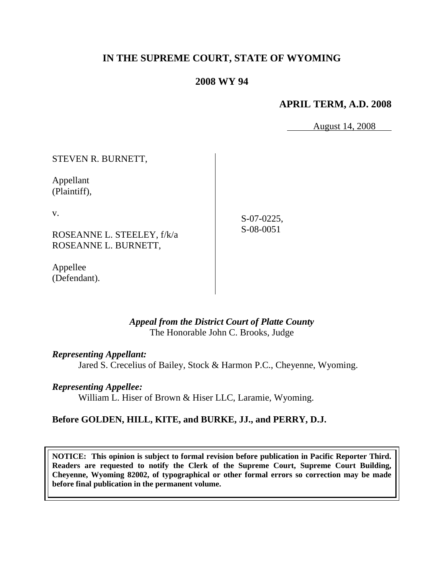# **IN THE SUPREME COURT, STATE OF WYOMING**

### **2008 WY 94**

### **APRIL TERM, A.D. 2008**

August 14, 2008

STEVEN R. BURNETT,

Appellant (Plaintiff),

v.

ROSEANNE L. STEELEY, f/k/a ROSEANNE L. BURNETT,

Appellee (Defendant).

S-07-0225, S-08-0051

*Appeal from the District Court of Platte County* The Honorable John C. Brooks, Judge

*Representing Appellant:*

Jared S. Crecelius of Bailey, Stock & Harmon P.C., Cheyenne, Wyoming.

*Representing Appellee:*

William L. Hiser of Brown & Hiser LLC, Laramie, Wyoming.

### **Before GOLDEN, HILL, KITE, and BURKE, JJ., and PERRY, D.J.**

**NOTICE: This opinion is subject to formal revision before publication in Pacific Reporter Third. Readers are requested to notify the Clerk of the Supreme Court, Supreme Court Building, Cheyenne, Wyoming 82002, of typographical or other formal errors so correction may be made before final publication in the permanent volume.**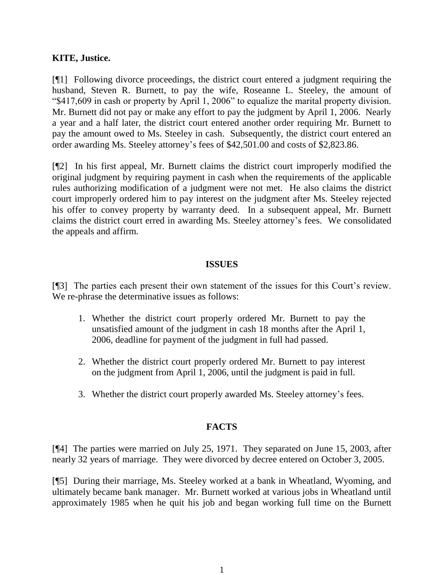### **KITE, Justice.**

[¶1] Following divorce proceedings, the district court entered a judgment requiring the husband, Steven R. Burnett, to pay the wife, Roseanne L. Steeley, the amount of "\$417,609 in cash or property by April 1, 2006" to equalize the marital property division. Mr. Burnett did not pay or make any effort to pay the judgment by April 1, 2006. Nearly a year and a half later, the district court entered another order requiring Mr. Burnett to pay the amount owed to Ms. Steeley in cash. Subsequently, the district court entered an order awarding Ms. Steeley attorney's fees of \$42,501.00 and costs of \$2,823.86.

[¶2] In his first appeal, Mr. Burnett claims the district court improperly modified the original judgment by requiring payment in cash when the requirements of the applicable rules authorizing modification of a judgment were not met. He also claims the district court improperly ordered him to pay interest on the judgment after Ms. Steeley rejected his offer to convey property by warranty deed. In a subsequent appeal, Mr. Burnett claims the district court erred in awarding Ms. Steeley attorney's fees. We consolidated the appeals and affirm.

#### **ISSUES**

[¶3] The parties each present their own statement of the issues for this Court's review. We re-phrase the determinative issues as follows:

- 1. Whether the district court properly ordered Mr. Burnett to pay the unsatisfied amount of the judgment in cash 18 months after the April 1, 2006, deadline for payment of the judgment in full had passed.
- 2. Whether the district court properly ordered Mr. Burnett to pay interest on the judgment from April 1, 2006, until the judgment is paid in full.
- 3. Whether the district court properly awarded Ms. Steeley attorney's fees.

### **FACTS**

[¶4] The parties were married on July 25, 1971. They separated on June 15, 2003, after nearly 32 years of marriage. They were divorced by decree entered on October 3, 2005.

[¶5] During their marriage, Ms. Steeley worked at a bank in Wheatland, Wyoming, and ultimately became bank manager. Mr. Burnett worked at various jobs in Wheatland until approximately 1985 when he quit his job and began working full time on the Burnett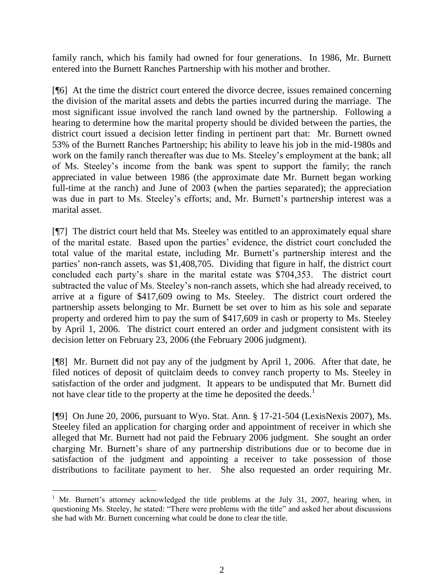family ranch, which his family had owned for four generations. In 1986, Mr. Burnett entered into the Burnett Ranches Partnership with his mother and brother.

[¶6] At the time the district court entered the divorce decree, issues remained concerning the division of the marital assets and debts the parties incurred during the marriage. The most significant issue involved the ranch land owned by the partnership. Following a hearing to determine how the marital property should be divided between the parties, the district court issued a decision letter finding in pertinent part that: Mr. Burnett owned 53% of the Burnett Ranches Partnership; his ability to leave his job in the mid-1980s and work on the family ranch thereafter was due to Ms. Steeley's employment at the bank; all of Ms. Steeley's income from the bank was spent to support the family; the ranch appreciated in value between 1986 (the approximate date Mr. Burnett began working full-time at the ranch) and June of 2003 (when the parties separated); the appreciation was due in part to Ms. Steeley's efforts; and, Mr. Burnett's partnership interest was a marital asset.

[¶7] The district court held that Ms. Steeley was entitled to an approximately equal share of the marital estate. Based upon the parties' evidence, the district court concluded the total value of the marital estate, including Mr. Burnett's partnership interest and the parties' non-ranch assets, was \$1,408,705. Dividing that figure in half, the district court concluded each party's share in the marital estate was \$704,353. The district court subtracted the value of Ms. Steeley's non-ranch assets, which she had already received, to arrive at a figure of \$417,609 owing to Ms. Steeley. The district court ordered the partnership assets belonging to Mr. Burnett be set over to him as his sole and separate property and ordered him to pay the sum of \$417,609 in cash or property to Ms. Steeley by April 1, 2006. The district court entered an order and judgment consistent with its decision letter on February 23, 2006 (the February 2006 judgment).

[¶8] Mr. Burnett did not pay any of the judgment by April 1, 2006. After that date, he filed notices of deposit of quitclaim deeds to convey ranch property to Ms. Steeley in satisfaction of the order and judgment. It appears to be undisputed that Mr. Burnett did not have clear title to the property at the time he deposited the deeds. $<sup>1</sup>$ </sup>

[¶9] On June 20, 2006, pursuant to Wyo. Stat. Ann. § 17-21-504 (LexisNexis 2007), Ms. Steeley filed an application for charging order and appointment of receiver in which she alleged that Mr. Burnett had not paid the February 2006 judgment. She sought an order charging Mr. Burnett's share of any partnership distributions due or to become due in satisfaction of the judgment and appointing a receiver to take possession of those distributions to facilitate payment to her. She also requested an order requiring Mr.

 $\overline{a}$ 

<sup>&</sup>lt;sup>1</sup> Mr. Burnett's attorney acknowledged the title problems at the July 31, 2007, hearing when, in questioning Ms. Steeley, he stated: "There were problems with the title" and asked her about discussions she had with Mr. Burnett concerning what could be done to clear the title.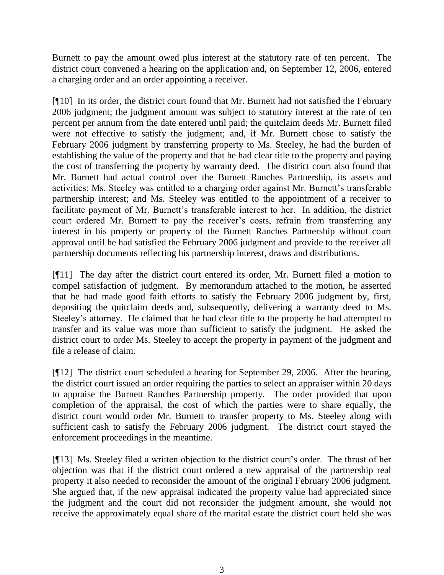Burnett to pay the amount owed plus interest at the statutory rate of ten percent. The district court convened a hearing on the application and, on September 12, 2006, entered a charging order and an order appointing a receiver.

[¶10] In its order, the district court found that Mr. Burnett had not satisfied the February 2006 judgment; the judgment amount was subject to statutory interest at the rate of ten percent per annum from the date entered until paid; the quitclaim deeds Mr. Burnett filed were not effective to satisfy the judgment; and, if Mr. Burnett chose to satisfy the February 2006 judgment by transferring property to Ms. Steeley, he had the burden of establishing the value of the property and that he had clear title to the property and paying the cost of transferring the property by warranty deed. The district court also found that Mr. Burnett had actual control over the Burnett Ranches Partnership, its assets and activities; Ms. Steeley was entitled to a charging order against Mr. Burnett's transferable partnership interest; and Ms. Steeley was entitled to the appointment of a receiver to facilitate payment of Mr. Burnett's transferable interest to her. In addition, the district court ordered Mr. Burnett to pay the receiver's costs, refrain from transferring any interest in his property or property of the Burnett Ranches Partnership without court approval until he had satisfied the February 2006 judgment and provide to the receiver all partnership documents reflecting his partnership interest, draws and distributions.

[¶11] The day after the district court entered its order, Mr. Burnett filed a motion to compel satisfaction of judgment. By memorandum attached to the motion, he asserted that he had made good faith efforts to satisfy the February 2006 judgment by, first, depositing the quitclaim deeds and, subsequently, delivering a warranty deed to Ms. Steeley's attorney. He claimed that he had clear title to the property he had attempted to transfer and its value was more than sufficient to satisfy the judgment. He asked the district court to order Ms. Steeley to accept the property in payment of the judgment and file a release of claim.

[¶12] The district court scheduled a hearing for September 29, 2006. After the hearing, the district court issued an order requiring the parties to select an appraiser within 20 days to appraise the Burnett Ranches Partnership property. The order provided that upon completion of the appraisal, the cost of which the parties were to share equally, the district court would order Mr. Burnett to transfer property to Ms. Steeley along with sufficient cash to satisfy the February 2006 judgment. The district court stayed the enforcement proceedings in the meantime.

[¶13] Ms. Steeley filed a written objection to the district court's order. The thrust of her objection was that if the district court ordered a new appraisal of the partnership real property it also needed to reconsider the amount of the original February 2006 judgment. She argued that, if the new appraisal indicated the property value had appreciated since the judgment and the court did not reconsider the judgment amount, she would not receive the approximately equal share of the marital estate the district court held she was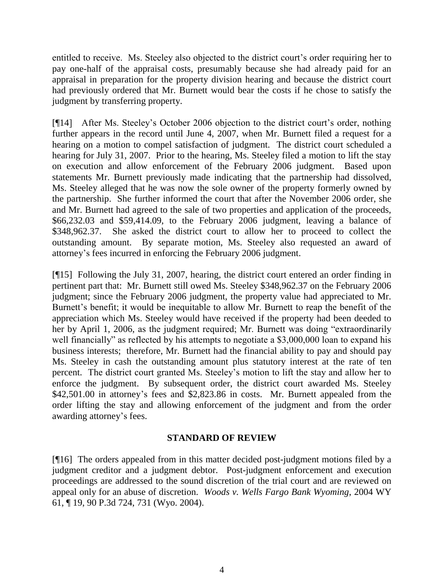entitled to receive. Ms. Steeley also objected to the district court's order requiring her to pay one-half of the appraisal costs, presumably because she had already paid for an appraisal in preparation for the property division hearing and because the district court had previously ordered that Mr. Burnett would bear the costs if he chose to satisfy the judgment by transferring property.

[¶14] After Ms. Steeley's October 2006 objection to the district court's order, nothing further appears in the record until June 4, 2007, when Mr. Burnett filed a request for a hearing on a motion to compel satisfaction of judgment. The district court scheduled a hearing for July 31, 2007. Prior to the hearing, Ms. Steeley filed a motion to lift the stay on execution and allow enforcement of the February 2006 judgment. Based upon statements Mr. Burnett previously made indicating that the partnership had dissolved, Ms. Steeley alleged that he was now the sole owner of the property formerly owned by the partnership. She further informed the court that after the November 2006 order, she and Mr. Burnett had agreed to the sale of two properties and application of the proceeds, \$66,232.03 and \$59,414.09, to the February 2006 judgment, leaving a balance of \$348,962.37. She asked the district court to allow her to proceed to collect the outstanding amount. By separate motion, Ms. Steeley also requested an award of attorney's fees incurred in enforcing the February 2006 judgment.

[¶15] Following the July 31, 2007, hearing, the district court entered an order finding in pertinent part that: Mr. Burnett still owed Ms. Steeley \$348,962.37 on the February 2006 judgment; since the February 2006 judgment, the property value had appreciated to Mr. Burnett's benefit; it would be inequitable to allow Mr. Burnett to reap the benefit of the appreciation which Ms. Steeley would have received if the property had been deeded to her by April 1, 2006, as the judgment required; Mr. Burnett was doing "extraordinarily well financially" as reflected by his attempts to negotiate a \$3,000,000 loan to expand his business interests; therefore, Mr. Burnett had the financial ability to pay and should pay Ms. Steeley in cash the outstanding amount plus statutory interest at the rate of ten percent. The district court granted Ms. Steeley's motion to lift the stay and allow her to enforce the judgment. By subsequent order, the district court awarded Ms. Steeley \$42,501.00 in attorney's fees and \$2,823.86 in costs. Mr. Burnett appealed from the order lifting the stay and allowing enforcement of the judgment and from the order awarding attorney's fees.

### **STANDARD OF REVIEW**

[¶16] The orders appealed from in this matter decided post-judgment motions filed by a judgment creditor and a judgment debtor. Post-judgment enforcement and execution proceedings are addressed to the sound discretion of the trial court and are reviewed on appeal only for an abuse of discretion. *Woods v. Wells Fargo Bank Wyoming*, 2004 WY 61, ¶ 19, 90 P.3d 724, 731 (Wyo. 2004).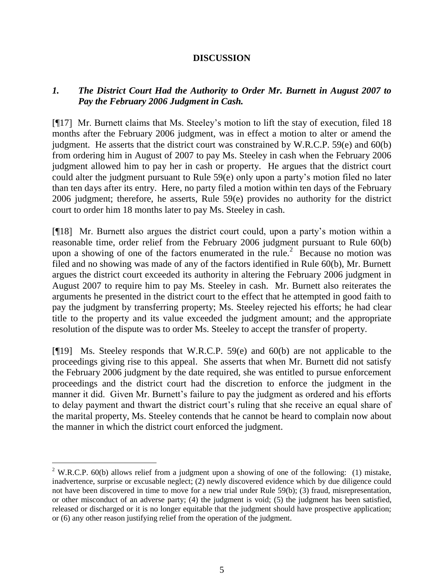### **DISCUSSION**

## *1. The District Court Had the Authority to Order Mr. Burnett in August 2007 to Pay the February 2006 Judgment in Cash.*

[¶17] Mr. Burnett claims that Ms. Steeley's motion to lift the stay of execution, filed 18 months after the February 2006 judgment, was in effect a motion to alter or amend the judgment. He asserts that the district court was constrained by W.R.C.P. 59(e) and 60(b) from ordering him in August of 2007 to pay Ms. Steeley in cash when the February 2006 judgment allowed him to pay her in cash or property. He argues that the district court could alter the judgment pursuant to Rule 59(e) only upon a party's motion filed no later than ten days after its entry. Here, no party filed a motion within ten days of the February 2006 judgment; therefore, he asserts, Rule 59(e) provides no authority for the district court to order him 18 months later to pay Ms. Steeley in cash.

[¶18] Mr. Burnett also argues the district court could, upon a party's motion within a reasonable time, order relief from the February 2006 judgment pursuant to Rule 60(b) upon a showing of one of the factors enumerated in the rule.<sup>2</sup> Because no motion was filed and no showing was made of any of the factors identified in Rule 60(b), Mr. Burnett argues the district court exceeded its authority in altering the February 2006 judgment in August 2007 to require him to pay Ms. Steeley in cash. Mr. Burnett also reiterates the arguments he presented in the district court to the effect that he attempted in good faith to pay the judgment by transferring property; Ms. Steeley rejected his efforts; he had clear title to the property and its value exceeded the judgment amount; and the appropriate resolution of the dispute was to order Ms. Steeley to accept the transfer of property.

[¶19] Ms. Steeley responds that W.R.C.P. 59(e) and 60(b) are not applicable to the proceedings giving rise to this appeal. She asserts that when Mr. Burnett did not satisfy the February 2006 judgment by the date required, she was entitled to pursue enforcement proceedings and the district court had the discretion to enforce the judgment in the manner it did. Given Mr. Burnett's failure to pay the judgment as ordered and his efforts to delay payment and thwart the district court's ruling that she receive an equal share of the marital property, Ms. Steeley contends that he cannot be heard to complain now about the manner in which the district court enforced the judgment.

 $\overline{a}$ 

<sup>&</sup>lt;sup>2</sup> W.R.C.P. 60(b) allows relief from a judgment upon a showing of one of the following: (1) mistake, inadvertence, surprise or excusable neglect; (2) newly discovered evidence which by due diligence could not have been discovered in time to move for a new trial under Rule 59(b); (3) fraud, misrepresentation, or other misconduct of an adverse party; (4) the judgment is void; (5) the judgment has been satisfied, released or discharged or it is no longer equitable that the judgment should have prospective application; or (6) any other reason justifying relief from the operation of the judgment.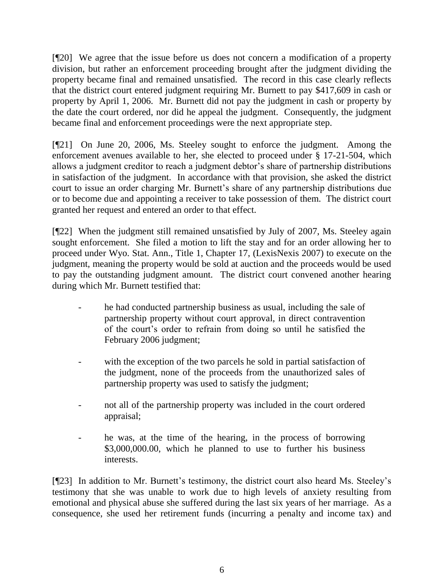[¶20] We agree that the issue before us does not concern a modification of a property division, but rather an enforcement proceeding brought after the judgment dividing the property became final and remained unsatisfied. The record in this case clearly reflects that the district court entered judgment requiring Mr. Burnett to pay \$417,609 in cash or property by April 1, 2006. Mr. Burnett did not pay the judgment in cash or property by the date the court ordered, nor did he appeal the judgment. Consequently, the judgment became final and enforcement proceedings were the next appropriate step.

[¶21] On June 20, 2006, Ms. Steeley sought to enforce the judgment. Among the enforcement avenues available to her, she elected to proceed under § 17-21-504, which allows a judgment creditor to reach a judgment debtor's share of partnership distributions in satisfaction of the judgment. In accordance with that provision, she asked the district court to issue an order charging Mr. Burnett's share of any partnership distributions due or to become due and appointing a receiver to take possession of them. The district court granted her request and entered an order to that effect.

[¶22] When the judgment still remained unsatisfied by July of 2007, Ms. Steeley again sought enforcement. She filed a motion to lift the stay and for an order allowing her to proceed under Wyo. Stat. Ann., Title 1, Chapter 17, (LexisNexis 2007) to execute on the judgment, meaning the property would be sold at auction and the proceeds would be used to pay the outstanding judgment amount. The district court convened another hearing during which Mr. Burnett testified that:

- he had conducted partnership business as usual, including the sale of partnership property without court approval, in direct contravention of the court's order to refrain from doing so until he satisfied the February 2006 judgment;
- with the exception of the two parcels he sold in partial satisfaction of the judgment, none of the proceeds from the unauthorized sales of partnership property was used to satisfy the judgment;
- not all of the partnership property was included in the court ordered appraisal;
- he was, at the time of the hearing, in the process of borrowing \$3,000,000.00, which he planned to use to further his business interests.

[¶23] In addition to Mr. Burnett's testimony, the district court also heard Ms. Steeley's testimony that she was unable to work due to high levels of anxiety resulting from emotional and physical abuse she suffered during the last six years of her marriage. As a consequence, she used her retirement funds (incurring a penalty and income tax) and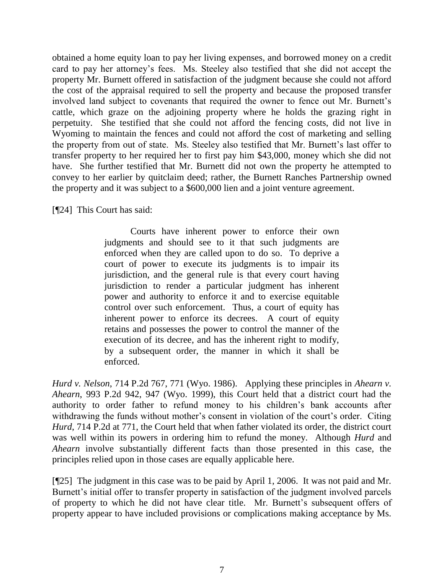obtained a home equity loan to pay her living expenses, and borrowed money on a credit card to pay her attorney's fees. Ms. Steeley also testified that she did not accept the property Mr. Burnett offered in satisfaction of the judgment because she could not afford the cost of the appraisal required to sell the property and because the proposed transfer involved land subject to covenants that required the owner to fence out Mr. Burnett's cattle, which graze on the adjoining property where he holds the grazing right in perpetuity. She testified that she could not afford the fencing costs, did not live in Wyoming to maintain the fences and could not afford the cost of marketing and selling the property from out of state. Ms. Steeley also testified that Mr. Burnett's last offer to transfer property to her required her to first pay him \$43,000, money which she did not have. She further testified that Mr. Burnett did not own the property he attempted to convey to her earlier by quitclaim deed; rather, the Burnett Ranches Partnership owned the property and it was subject to a \$600,000 lien and a joint venture agreement.

[**[24]** This Court has said:

Courts have inherent power to enforce their own judgments and should see to it that such judgments are enforced when they are called upon to do so. To deprive a court of power to execute its judgments is to impair its jurisdiction, and the general rule is that every court having jurisdiction to render a particular judgment has inherent power and authority to enforce it and to exercise equitable control over such enforcement. Thus, a court of equity has inherent power to enforce its decrees. A court of equity retains and possesses the power to control the manner of the execution of its decree, and has the inherent right to modify, by a subsequent order, the manner in which it shall be enforced.

*Hurd v. Nelson*, 714 P.2d 767, 771 (Wyo. 1986). Applying these principles in *Ahearn v. Ahearn*, 993 P.2d 942, 947 (Wyo. 1999), this Court held that a district court had the authority to order father to refund money to his children's bank accounts after withdrawing the funds without mother's consent in violation of the court's order. Citing *Hurd*, 714 P.2d at 771, the Court held that when father violated its order, the district court was well within its powers in ordering him to refund the money. Although *Hurd* and *Ahearn* involve substantially different facts than those presented in this case, the principles relied upon in those cases are equally applicable here.

[¶25] The judgment in this case was to be paid by April 1, 2006. It was not paid and Mr. Burnett's initial offer to transfer property in satisfaction of the judgment involved parcels of property to which he did not have clear title. Mr. Burnett's subsequent offers of property appear to have included provisions or complications making acceptance by Ms.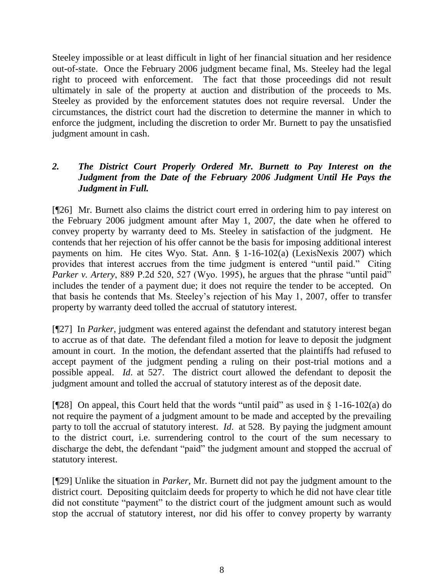Steeley impossible or at least difficult in light of her financial situation and her residence out-of-state. Once the February 2006 judgment became final, Ms. Steeley had the legal right to proceed with enforcement. The fact that those proceedings did not result ultimately in sale of the property at auction and distribution of the proceeds to Ms. Steeley as provided by the enforcement statutes does not require reversal. Under the circumstances, the district court had the discretion to determine the manner in which to enforce the judgment, including the discretion to order Mr. Burnett to pay the unsatisfied judgment amount in cash.

## *2. The District Court Properly Ordered Mr. Burnett to Pay Interest on the Judgment from the Date of the February 2006 Judgment Until He Pays the Judgment in Full.*

[¶26] Mr. Burnett also claims the district court erred in ordering him to pay interest on the February 2006 judgment amount after May 1, 2007, the date when he offered to convey property by warranty deed to Ms. Steeley in satisfaction of the judgment. He contends that her rejection of his offer cannot be the basis for imposing additional interest payments on him. He cites Wyo. Stat. Ann. § 1-16-102(a) (LexisNexis 2007) which provides that interest accrues from the time judgment is entered "until paid." Citing *Parker v. Artery*, 889 P.2d 520, 527 (Wyo. 1995), he argues that the phrase "until paid" includes the tender of a payment due; it does not require the tender to be accepted. On that basis he contends that Ms. Steeley's rejection of his May 1, 2007, offer to transfer property by warranty deed tolled the accrual of statutory interest.

[¶27] In *Parker*, judgment was entered against the defendant and statutory interest began to accrue as of that date. The defendant filed a motion for leave to deposit the judgment amount in court. In the motion, the defendant asserted that the plaintiffs had refused to accept payment of the judgment pending a ruling on their post-trial motions and a possible appeal. *Id*. at 527. The district court allowed the defendant to deposit the judgment amount and tolled the accrual of statutory interest as of the deposit date.

[ $[$ 28] On appeal, this Court held that the words "until paid" as used in § 1-16-102(a) do not require the payment of a judgment amount to be made and accepted by the prevailing party to toll the accrual of statutory interest. *Id*. at 528. By paying the judgment amount to the district court, i.e. surrendering control to the court of the sum necessary to discharge the debt, the defendant "paid" the judgment amount and stopped the accrual of statutory interest.

[¶29] Unlike the situation in *Parker*, Mr. Burnett did not pay the judgment amount to the district court. Depositing quitclaim deeds for property to which he did not have clear title did not constitute "payment" to the district court of the judgment amount such as would stop the accrual of statutory interest, nor did his offer to convey property by warranty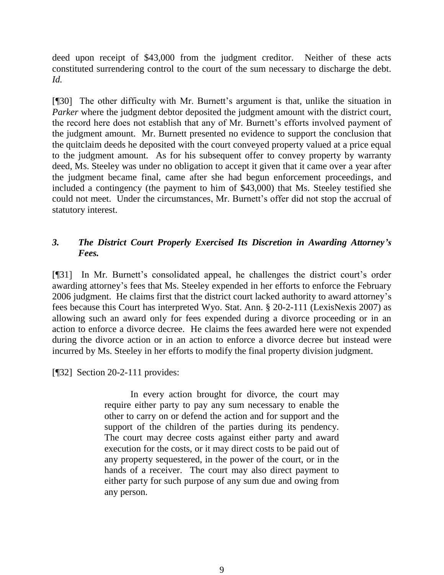deed upon receipt of \$43,000 from the judgment creditor. Neither of these acts constituted surrendering control to the court of the sum necessary to discharge the debt. *Id.*

[¶30] The other difficulty with Mr. Burnett's argument is that, unlike the situation in *Parker* where the judgment debtor deposited the judgment amount with the district court, the record here does not establish that any of Mr. Burnett's efforts involved payment of the judgment amount. Mr. Burnett presented no evidence to support the conclusion that the quitclaim deeds he deposited with the court conveyed property valued at a price equal to the judgment amount. As for his subsequent offer to convey property by warranty deed, Ms. Steeley was under no obligation to accept it given that it came over a year after the judgment became final, came after she had begun enforcement proceedings, and included a contingency (the payment to him of \$43,000) that Ms. Steeley testified she could not meet. Under the circumstances, Mr. Burnett's offer did not stop the accrual of statutory interest.

# *3. The District Court Properly Exercised Its Discretion in Awarding Attorney's Fees.*

[¶31] In Mr. Burnett's consolidated appeal, he challenges the district court's order awarding attorney's fees that Ms. Steeley expended in her efforts to enforce the February 2006 judgment. He claims first that the district court lacked authority to award attorney's fees because this Court has interpreted Wyo. Stat. Ann. § 20-2-111 (LexisNexis 2007) as allowing such an award only for fees expended during a divorce proceeding or in an action to enforce a divorce decree. He claims the fees awarded here were not expended during the divorce action or in an action to enforce a divorce decree but instead were incurred by Ms. Steeley in her efforts to modify the final property division judgment.

[¶32] Section 20-2-111 provides:

In every action brought for divorce, the court may require either party to pay any sum necessary to enable the other to carry on or defend the action and for support and the support of the children of the parties during its pendency. The court may decree costs against either party and award execution for the costs, or it may direct costs to be paid out of any property sequestered, in the power of the court, or in the hands of a receiver. The court may also direct payment to either party for such purpose of any sum due and owing from any person.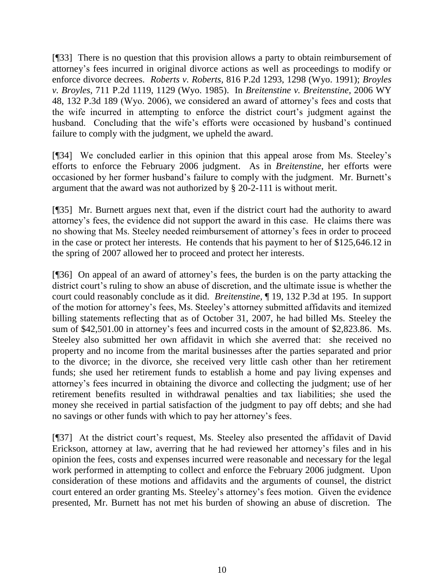[¶33] There is no question that this provision allows a party to obtain reimbursement of attorney's fees incurred in original divorce actions as well as proceedings to modify or enforce divorce decrees. *Roberts v. Roberts,* 816 P.2d 1293, 1298 (Wyo. 1991); *Broyles v. Broyles*, 711 P.2d 1119, 1129 (Wyo. 1985). In *Breitenstine v. Breitenstine*, 2006 WY 48, 132 P.3d 189 (Wyo. 2006), we considered an award of attorney's fees and costs that the wife incurred in attempting to enforce the district court's judgment against the husband. Concluding that the wife's efforts were occasioned by husband's continued failure to comply with the judgment, we upheld the award.

[¶34] We concluded earlier in this opinion that this appeal arose from Ms. Steeley's efforts to enforce the February 2006 judgment. As in *Breitenstine*, her efforts were occasioned by her former husband's failure to comply with the judgment. Mr. Burnett's argument that the award was not authorized by § 20-2-111 is without merit.

[¶35] Mr. Burnett argues next that, even if the district court had the authority to award attorney's fees, the evidence did not support the award in this case. He claims there was no showing that Ms. Steeley needed reimbursement of attorney's fees in order to proceed in the case or protect her interests. He contends that his payment to her of \$125,646.12 in the spring of 2007 allowed her to proceed and protect her interests.

[¶36] On appeal of an award of attorney's fees, the burden is on the party attacking the district court's ruling to show an abuse of discretion, and the ultimate issue is whether the court could reasonably conclude as it did. *Breitenstine*, ¶ 19, 132 P.3d at 195. In support of the motion for attorney's fees, Ms. Steeley's attorney submitted affidavits and itemized billing statements reflecting that as of October 31, 2007, he had billed Ms. Steeley the sum of \$42,501.00 in attorney's fees and incurred costs in the amount of \$2,823.86. Ms. Steeley also submitted her own affidavit in which she averred that: she received no property and no income from the marital businesses after the parties separated and prior to the divorce; in the divorce, she received very little cash other than her retirement funds; she used her retirement funds to establish a home and pay living expenses and attorney's fees incurred in obtaining the divorce and collecting the judgment; use of her retirement benefits resulted in withdrawal penalties and tax liabilities; she used the money she received in partial satisfaction of the judgment to pay off debts; and she had no savings or other funds with which to pay her attorney's fees.

[¶37] At the district court's request, Ms. Steeley also presented the affidavit of David Erickson, attorney at law, averring that he had reviewed her attorney's files and in his opinion the fees, costs and expenses incurred were reasonable and necessary for the legal work performed in attempting to collect and enforce the February 2006 judgment. Upon consideration of these motions and affidavits and the arguments of counsel, the district court entered an order granting Ms. Steeley's attorney's fees motion. Given the evidence presented, Mr. Burnett has not met his burden of showing an abuse of discretion. The